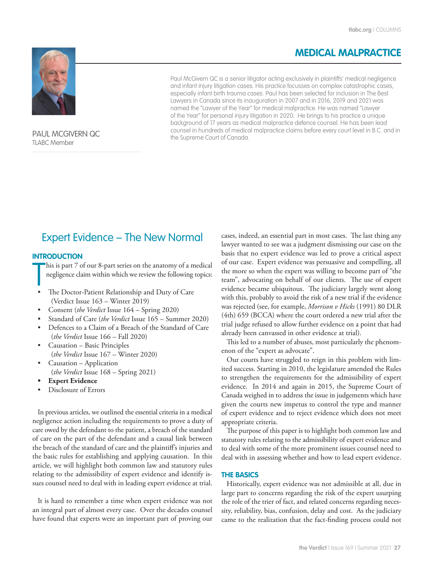### **MEDICAL MALPRACTICE**



#### [PAUL MCGIVERN QC](https://www.pacificmedicallaw.ca/our-team/paul-t-mcgivern/) [TLABC Member](https://www.pacificmedicallaw.ca/our-team/paul-t-mcgivern/)

Paul McGivern QC is a senior litigator acting exclusively in plaintiffs' medical negligence and infant injury litigation cases. His practice focusses on complex catastrophic cases, especially infant birth trauma cases. Paul has been selected for inclusion in The Best Lawyers in Canada since its inauguration in 2007 and in 2016, 2019 and 2021 was named the "Lawyer of the Year" for medical malpractice. He was named "Lawyer of the Year" for personal injury litigation in 2020. He brings to his practice a unique background of 17 years as medical malpractice defence counsel. He has been lead counsel in hundreds of medical malpractice claims before every court level in B.C. and in the Supreme Court of Canada.

# Expert Evidence – The New Normal

### **INTRODUCTION**

T his is part 7 of our 8-part series on the anatomy of a medical negligence claim within which we review the following topics:

- The Doctor-Patient Relationship and Duty of Care (Verdict Issue 163 – Winter 2019)
- Consent (*the Verdict* Issue 164 Spring 2020)
- Standard of Care (*the Verdict* Issue 165 Summer 2020)
- Defences to a Claim of a Breach of the Standard of Care (*the Verdict* Issue 166 – Fall 2020)
- Causation Basic Principles (*the Verdict* Issue 167 – Winter 2020)
- Causation Application (*the Verdict* Issue 168 – Spring 2021)
- **• Expert Evidence**
- Disclosure of Errors

In previous articles, we outlined the essential criteria in a medical negligence action including the requirements to prove a duty of care owed by the defendant to the patient, a breach of the standard of care on the part of the defendant and a causal link between the breach of the standard of care and the plaintiff's injuries and the basic rules for establishing and applying causation. In this article, we will highlight both common law and statutory rules relating to the admissibility of expert evidence and identify issues counsel need to deal with in leading expert evidence at trial.

It is hard to remember a time when expert evidence was not an integral part of almost every case. Over the decades counsel have found that experts were an important part of proving our cases, indeed, an essential part in most cases. The last thing any lawyer wanted to see was a judgment dismissing our case on the basis that no expert evidence was led to prove a critical aspect of our case. Expert evidence was persuasive and compelling, all the more so when the expert was willing to become part of "the team", advocating on behalf of our clients. The use of expert evidence became ubiquitous. The judiciary largely went along with this, probably to avoid the risk of a new trial if the evidence was rejected (see, for example, *Morrison v Hicks* (1991) 80 DLR (4th) 659 (BCCA) where the court ordered a new trial after the trial judge refused to allow further evidence on a point that had already been canvassed in other evidence at trial).

This led to a number of abuses, most particularly the phenomenon of the "expert as advocate".

Our courts have struggled to reign in this problem with limited success. Starting in 2010, the legislature amended the Rules to strengthen the requirements for the admissibility of expert evidence. In 2014 and again in 2015, the Supreme Court of Canada weighed in to address the issue in judgements which have given the courts new impetus to control the type and manner of expert evidence and to reject evidence which does not meet appropriate criteria.

The purpose of this paper is to highlight both common law and statutory rules relating to the admissibility of expert evidence and to deal with some of the more prominent issues counsel need to deal with in assessing whether and how to lead expert evidence.

#### **THE BASICS**

Historically, expert evidence was not admissible at all, due in large part to concerns regarding the risk of the expert usurping the role of the trier of fact, and related concerns regarding necessity, reliability, bias, confusion, delay and cost. As the judiciary came to the realization that the fact-finding process could not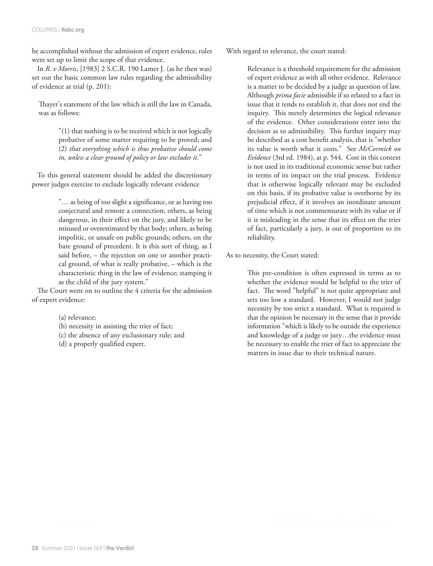be accomplished without the admission of expert evidence, rules were set up to limit the scope of that evidence.

In *R. v Morris*, [1983] 2 S.C.R. 190 Lamer J. (as he then was) set out the basic common law rules regarding the admissibility of evidence at trial (p. 201):

Thayer's statement of the law which is still the law in Canada, was as follows:

> "(1) that nothing is to be received which is not logically probative of some matter requiring to be proved; and (2) *that everything which is thus probative should come in, unless a clear ground of policy or law excludes it.*"

To this general statement should be added the discretionary power judges exercise to exclude logically relevant evidence

> "… as being of too slight a significance, or as having too conjectural and remote a connection; others, as being dangerous, in their effect on the jury, and likely to be misused or overestimated by that body; others, as being impolitic, or unsafe on public grounds; others, on the bare ground of precedent. It is this sort of thing, as I said before, – the rejection on one or another practical ground, of what is really probative, – which is the characteristic thing in the law of evidence; stamping it as the child of the jury system."

The Court went on to outline the 4 criteria for the admission of expert evidence:

(a) relevance;

- (b) necessity in assisting the trier of fact;
- (c) the absence of any exclusionary rule; and
- (d) a properly qualified expert.

With regard to relevance, the court stated:

Relevance is a threshold requirement for the admission of expert evidence as with all other evidence. Relevance is a matter to be decided by a judge as question of law. Although *prima facie* admissible if so related to a fact in issue that it tends to establish it, that does not end the inquiry. This merely determines the logical relevance of the evidence. Other considerations enter into the decision as to admissibility. This further inquiry may be described as a cost benefit analysis, that is "whether its value is worth what it costs." See *McCormick on Evidence* (3rd ed. 1984), at p. 544. Cost in this context is not used in its traditional economic sense but rather in terms of its impact on the trial process. Evidence that is otherwise logically relevant may be excluded on this basis, if its probative value is overborne by its prejudicial effect, if it involves an inordinate amount of time which is not commensurate with its value or if it is misleading in the sense that its effect on the trier of fact, particularly a jury, is out of proportion to its reliability.

As to necessity, the Court stated:

This pre-condition is often expressed in terms as to whether the evidence would be helpful to the trier of fact. The word "helpful" is not quite appropriate and sets too low a standard. However, I would not judge necessity by too strict a standard. What is required is that the opinion be necessary in the sense that it provide information "which is likely to be outside the experience and knowledge of a judge or jury…the evidence must be necessary to enable the trier of fact to appreciate the matters in issue due to their technical nature.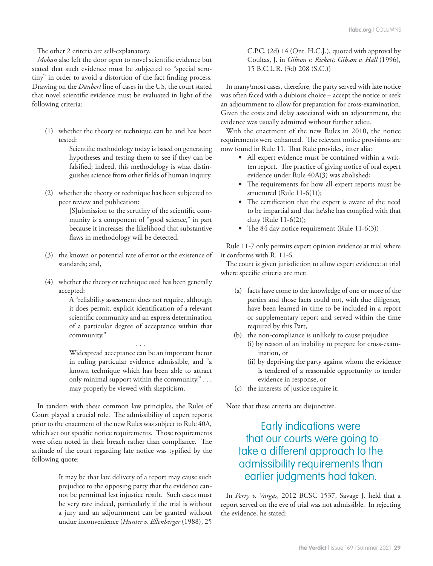The other 2 criteria are self-explanatory.

*Mohan* also left the door open to novel scientific evidence but stated that such evidence must be subjected to "special scrutiny" in order to avoid a distortion of the fact finding process. Drawing on the *Daubert* line of cases in the US, the court stated that novel scientific evidence must be evaluated in light of the following criteria:

(1) whether the theory or technique can be and has been tested:

> Scientific methodology today is based on generating hypotheses and testing them to see if they can be falsified; indeed, this methodology is what distinguishes science from other fields of human inquiry.

(2) whether the theory or technique has been subjected to peer review and publication:

> [S]ubmission to the scrutiny of the scientific community is a component of "good science," in part because it increases the likelihood that substantive flaws in methodology will be detected.

- (3) the known or potential rate of error or the existence of standards; and,
- (4) whether the theory or technique used has been generally accepted:

A "reliability assessment does not require, although it does permit, explicit identification of a relevant scientific community and an express determination of a particular degree of acceptance within that community."

Widespread acceptance can be an important factor in ruling particular evidence admissible, and "a known technique which has been able to attract only minimal support within the community," . . . may properly be viewed with skepticism.

. . .

In tandem with these common law principles, the Rules of Court played a crucial role. The admissibility of expert reports prior to the enactment of the new Rules was subject to Rule 40A, which set out specific notice requirements. Those requirements were often noted in their breach rather than compliance. The attitude of the court regarding late notice was typified by the following quote:

> It may be that late delivery of a report may cause such prejudice to the opposing party that the evidence cannot be permitted lest injustice result. Such cases must be very rare indeed, particularly if the trial is without a jury and an adjournment can be granted without undue inconvenience (*Hunter v. Ellenberger* (1988), 25

C.P.C. (2d) 14 (Ont. H.C.J.), quoted with approval by Coultas, J. in *Gibson v. Rickett; Gibson v. Hall* (1996), 15 B.C.L.R. (3d) 208 (S.C.))

In many\most cases, therefore, the party served with late notice was often faced with a dubious choice – accept the notice or seek an adjournment to allow for preparation for cross-examination. Given the costs and delay associated with an adjournment, the evidence was usually admitted without further adieu.

With the enactment of the new Rules in 2010, the notice requirements were enhanced. The relevant notice provisions are now found in Rule 11. That Rule provides, inter alia:

- All expert evidence must be contained within a written report. The practice of giving notice of oral expert evidence under Rule 40A(3) was abolished;
- The requirements for how all expert reports must be structured (Rule 11-6(1));
- The certification that the expert is aware of the need to be impartial and that he\she has complied with that duty (Rule 11-6(2));
- The 84 day notice requirement (Rule 11-6(3))

Rule 11-7 only permits expert opinion evidence at trial where it conforms with R. 11-6.

The court is given jurisdiction to allow expert evidence at trial where specific criteria are met:

- (a) facts have come to the knowledge of one or more of the parties and those facts could not, with due diligence, have been learned in time to be included in a report or supplementary report and served within the time required by this Part,
- (b) the non-compliance is unlikely to cause prejudice
	- (i) by reason of an inability to prepare for cross-examination, or
	- (ii) by depriving the party against whom the evidence is tendered of a reasonable opportunity to tender evidence in response, or
- (c) the interests of justice require it.

Note that these criteria are disjunctive.

# Early indications were that our courts were going to take a different approach to the admissibility requirements than earlier judgments had taken.

In *Perry v. Vargas*, 2012 BCSC 1537, Savage J. held that a report served on the eve of trial was not admissible. In rejecting the evidence, he stated: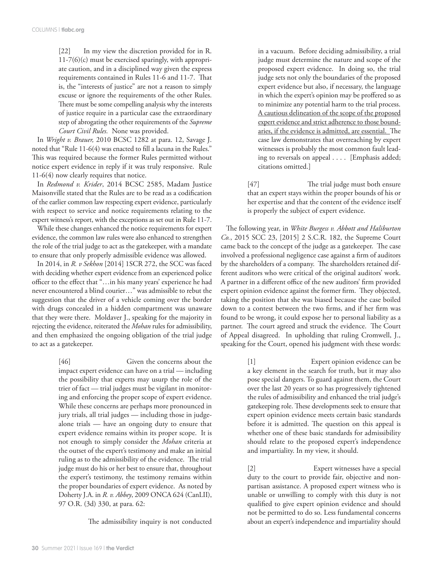[22] In my view the discretion provided for in R. 11-7(6)(c) must be exercised sparingly, with appropriate caution, and in a disciplined way given the express requirements contained in Rules 11-6 and 11-7. That is, the "interests of justice" are not a reason to simply excuse or ignore the requirements of the other Rules. There must be some compelling analysis why the interests of justice require in a particular case the extraordinary step of abrogating the other requirements of the *Supreme Court Civil Rules.* None was provided.

In *Wright v. Brauer,* 2010 BCSC 1282 at para. 12, Savage J. noted that "Rule 11-6(4) was enacted to fill a lacuna in the Rules." This was required because the former Rules permitted without notice expert evidence in reply if it was truly responsive. Rule 11-6(4) now clearly requires that notice.

In *Redmond v. Krider*, 2014 BCSC 2585, Madam Justice Maisonville stated that the Rules are to be read as a codification of the earlier common law respecting expert evidence, particularly with respect to service and notice requirements relating to the expert witness's report, with the exceptions as set out in Rule 11-7.

While these changes enhanced the notice requirements for expert evidence, the common law rules were also enhanced to strengthen the role of the trial judge to act as the gatekeeper, with a mandate to ensure that only properly admissible evidence was allowed.

In 2014, in *R. v Sekhon* [2014] 1SCR 272, the SCC was faced with deciding whether expert evidence from an experienced police officer to the effect that "…in his many years' experience he had never encountered a blind courier…" was admissible to rebut the suggestion that the driver of a vehicle coming over the border with drugs concealed in a hidden compartment was unaware that they were there. Moldaver J., speaking for the majority in rejecting the evidence, reiterated the *Mohan* rules for admissibility, and then emphasized the ongoing obligation of the trial judge to act as a gatekeeper.

> [46] Given the concerns about the impact expert evidence can have on a trial — including the possibility that experts may usurp the role of the trier of fact — trial judges must be vigilant in monitoring and enforcing the proper scope of expert evidence. While these concerns are perhaps more pronounced in jury trials, all trial judges — including those in judgealone trials — have an ongoing duty to ensure that expert evidence remains within its proper scope. It is not enough to simply consider the *Mohan* criteria at the outset of the expert's testimony and make an initial ruling as to the admissibility of the evidence. The trial judge must do his or her best to ensure that, throughout the expert's testimony, the testimony remains within the proper boundaries of expert evidence. As noted by Doherty J.A. in *R. v. Abbey*, 2009 ONCA 624 (CanLII), 97 O.R. (3d) 330, at para. 62:

> > The admissibility inquiry is not conducted

in a vacuum. Before deciding admissibility, a trial judge must determine the nature and scope of the proposed expert evidence. In doing so, the trial judge sets not only the boundaries of the proposed expert evidence but also, if necessary, the language in which the expert's opinion may be proffered so as to minimize any potential harm to the trial process. A cautious delineation of the scope of the proposed expert evidence and strict adherence to those boundaries, if the evidence is admitted, are essential. The case law demonstrates that overreaching by expert witnesses is probably the most common fault leading to reversals on appeal . . . . [Emphasis added; citations omitted.]

[47] The trial judge must both ensure that an expert stays within the proper bounds of his or her expertise and that the content of the evidence itself is properly the subject of expert evidence.

The following year, in *White Burgess v. Abbott and Haliburton Co.*, 2015 SCC 23, [2015] 2 S.C.R. 182, the Supreme Court came back to the concept of the judge as a gatekeeper. The case involved a professional negligence case against a firm of auditors by the shareholders of a company. The shareholders retained different auditors who were critical of the original auditors' work. A partner in a different office of the new auditors' firm provided expert opinion evidence against the former firm. They objected, taking the position that she was biased because the case boiled down to a contest between the two firms, and if her firm was found to be wrong, it could expose her to personal liability as a partner. The court agreed and struck the evidence. The Court of Appeal disagreed. In upholding that ruling Cromwell, J., speaking for the Court, opened his judgment with these words:

> [1] Expert opinion evidence can be a key element in the search for truth, but it may also pose special dangers. To guard against them, the Court over the last 20 years or so has progressively tightened the rules of admissibility and enhanced the trial judge's gatekeeping role. These developments seek to ensure that expert opinion evidence meets certain basic standards before it is admitted. The question on this appeal is whether one of these basic standards for admissibility should relate to the proposed expert's independence and impartiality. In my view, it should.

> [2] Expert witnesses have a special duty to the court to provide fair, objective and nonpartisan assistance. A proposed expert witness who is unable or unwilling to comply with this duty is not qualified to give expert opinion evidence and should not be permitted to do so. Less fundamental concerns about an expert's independence and impartiality should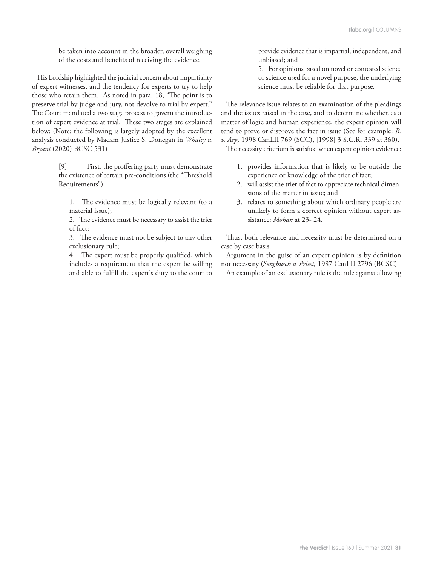be taken into account in the broader, overall weighing of the costs and benefits of receiving the evidence.

His Lordship highlighted the judicial concern about impartiality of expert witnesses, and the tendency for experts to try to help those who retain them. As noted in para. 18, "The point is to preserve trial by judge and jury, not devolve to trial by expert." The Court mandated a two stage process to govern the introduction of expert evidence at trial. These two stages are explained below: (Note: the following is largely adopted by the excellent analysis conducted by Madam Justice S. Donegan in *Whaley v. Bryant* (2020) BCSC 531)

> [9] First, the proffering party must demonstrate the existence of certain pre-conditions (the "Threshold Requirements"):

1. The evidence must be logically relevant (to a material issue);

2. The evidence must be necessary to assist the trier of fact;

3. The evidence must not be subject to any other exclusionary rule;

4. The expert must be properly qualified, which includes a requirement that the expert be willing and able to fulfill the expert's duty to the court to

provide evidence that is impartial, independent, and unbiased; and

5. For opinions based on novel or contested science or science used for a novel purpose, the underlying science must be reliable for that purpose.

The relevance issue relates to an examination of the pleadings and the issues raised in the case, and to determine whether, as a matter of logic and human experience, the expert opinion will tend to prove or disprove the fact in issue (See for example: *R. v. Arp,* 1998 CanLII 769 (SCC), [1998] 3 S.C.R. 339 at 360).

The necessity criterium is satisfied when expert opinion evidence:

- 1. provides information that is likely to be outside the experience or knowledge of the trier of fact;
- 2. will assist the trier of fact to appreciate technical dimensions of the matter in issue; and
- 3. relates to something about which ordinary people are unlikely to form a correct opinion without expert assistance: *Mohan* at 23- 24.

Thus, both relevance and necessity must be determined on a case by case basis.

Argument in the guise of an expert opinion is by definition not necessary (*Sengbusch v. Priest,* 1987 CanLII 2796 (BCSC)

An example of an exclusionary rule is the rule against allowing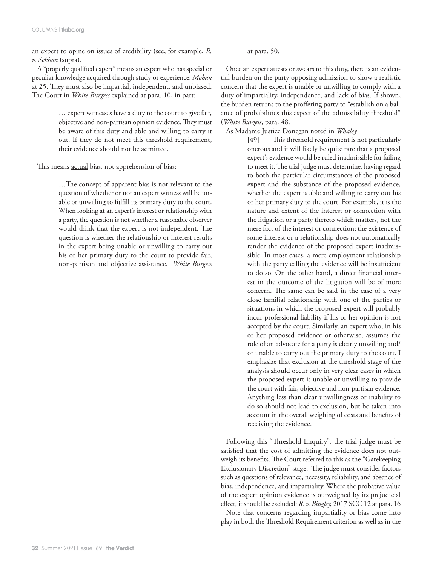an expert to opine on issues of credibility (see, for example, *R. v. Sekhon* (supra).

A "properly qualified expert" means an expert who has special or peculiar knowledge acquired through study or experience: *Mohan* at 25. They must also be impartial, independent, and unbiased. The Court in *White Burgess* explained at para. 10, in part:

> … expert witnesses have a duty to the court to give fair, objective and non-partisan opinion evidence. They must be aware of this duty and able and willing to carry it out. If they do not meet this threshold requirement, their evidence should not be admitted.

This means actual bias, not apprehension of bias:

…The concept of apparent bias is not relevant to the question of whether or not an expert witness will be unable or unwilling to fulfill its primary duty to the court. When looking at an expert's interest or relationship with a party, the question is not whether a reasonable observer would think that the expert is not independent. The question is whether the relationship or interest results in the expert being unable or unwilling to carry out his or her primary duty to the court to provide fair, non-partisan and objective assistance. *White Burgess* 

at para. 50.

Once an expert attests or swears to this duty, there is an evidential burden on the party opposing admission to show a realistic concern that the expert is unable or unwilling to comply with a duty of impartiality, independence, and lack of bias. If shown, the burden returns to the proffering party to "establish on a balance of probabilities this aspect of the admissibility threshold" (*White Burgess*, para. 48.

As Madame Justice Donegan noted in *Whaley*

[49] This threshold requirement is not particularly onerous and it will likely be quite rare that a proposed expert's evidence would be ruled inadmissible for failing to meet it. The trial judge must determine, having regard to both the particular circumstances of the proposed expert and the substance of the proposed evidence, whether the expert is able and willing to carry out his or her primary duty to the court. For example, it is the nature and extent of the interest or connection with the litigation or a party thereto which matters, not the mere fact of the interest or connection; the existence of some interest or a relationship does not automatically render the evidence of the proposed expert inadmissible. In most cases, a mere employment relationship with the party calling the evidence will be insufficient to do so. On the other hand, a direct financial interest in the outcome of the litigation will be of more concern. The same can be said in the case of a very close familial relationship with one of the parties or situations in which the proposed expert will probably incur professional liability if his or her opinion is not accepted by the court. Similarly, an expert who, in his or her proposed evidence or otherwise, assumes the role of an advocate for a party is clearly unwilling and/ or unable to carry out the primary duty to the court. I emphasize that exclusion at the threshold stage of the analysis should occur only in very clear cases in which the proposed expert is unable or unwilling to provide the court with fair, objective and non-partisan evidence. Anything less than clear unwillingness or inability to do so should not lead to exclusion, but be taken into account in the overall weighing of costs and benefits of receiving the evidence.

Following this "Threshold Enquiry", the trial judge must be satisfied that the cost of admitting the evidence does not outweigh its benefits. The Court referred to this as the "Gatekeeping Exclusionary Discretion" stage. The judge must consider factors such as questions of relevance, necessity, reliability, and absence of bias, independence, and impartiality. Where the probative value of the expert opinion evidence is outweighed by its prejudicial effect, it should be excluded: *R. v. Bingley,* 2017 SCC 12 at para. 16

Note that concerns regarding impartiality or bias come into play in both the Threshold Requirement criterion as well as in the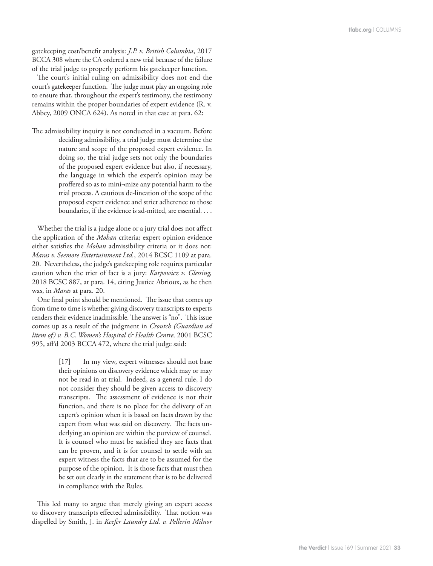gatekeeping cost/benefit analysis: *J.P. v. British Columbia*, 2017 BCCA 308 where the CA ordered a new trial because of the failure of the trial judge to properly perform his gatekeeper function.

The court's initial ruling on admissibility does not end the court's gatekeeper function. The judge must play an ongoing role to ensure that, throughout the expert's testimony, the testimony remains within the proper boundaries of expert evidence (R. v. Abbey, 2009 ONCA 624). As noted in that case at para. 62:

The admissibility inquiry is not conducted in a vacuum. Before deciding admissibility, a trial judge must determine the nature and scope of the proposed expert evidence. In doing so, the trial judge sets not only the boundaries of the proposed expert evidence but also, if necessary, the language in which the expert's opinion may be proffered so as to mini¬mize any potential harm to the trial process. A cautious de-lineation of the scope of the proposed expert evidence and strict adherence to those boundaries, if the evidence is ad-mitted, are essential. . . .

Whether the trial is a judge alone or a jury trial does not affect the application of the *Mohan* criteria; expert opinion evidence either satisfies the *Mohan* admissibility criteria or it does not: *Maras v. Seemore Entertainment Ltd.*, 2014 BCSC 1109 at para. 20. Nevertheless, the judge's gatekeeping role requires particular caution when the trier of fact is a jury: *Karpowicz v. Glessing,* 2018 BCSC 887, at para. 14, citing Justice Abrioux, as he then was, in *Maras* at para. 20.

One final point should be mentioned. The issue that comes up from time to time is whether giving discovery transcripts to experts renders their evidence inadmissible. The answer is "no". This issue comes up as a result of the judgment in *Croutch (Guardian ad litem of) v. B.C. Women's Hospital & Health Centre,* 2001 BCSC 995, aff'd 2003 BCCA 472, where the trial judge said:

> [17] In my view, expert witnesses should not base their opinions on discovery evidence which may or may not be read in at trial. Indeed, as a general rule, I do not consider they should be given access to discovery transcripts. The assessment of evidence is not their function, and there is no place for the delivery of an expert's opinion when it is based on facts drawn by the expert from what was said on discovery. The facts underlying an opinion are within the purview of counsel. It is counsel who must be satisfied they are facts that can be proven, and it is for counsel to settle with an expert witness the facts that are to be assumed for the purpose of the opinion. It is those facts that must then be set out clearly in the statement that is to be delivered in compliance with the Rules.

This led many to argue that merely giving an expert access to discovery transcripts effected admissibility. That notion was dispelled by Smith, J. in *Keefer Laundry Ltd. v. Pellerin Milnor*